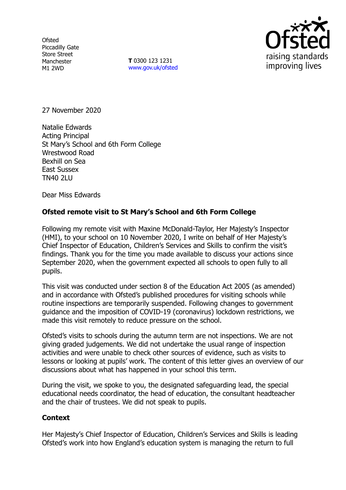**Ofsted** Piccadilly Gate Store Street Manchester M1 2WD

**T** 0300 123 1231 [www.gov.uk/ofsted](http://www.gov.uk/ofsted)



27 November 2020

Natalie Edwards Acting Principal St Mary's School and 6th Form College Wrestwood Road Bexhill on Sea East Sussex TN40 2LU

Dear Miss Edwards

## **Ofsted remote visit to St Mary's School and 6th Form College**

Following my remote visit with Maxine McDonald-Taylor, Her Majesty's Inspector (HMI), to your school on 10 November 2020, I write on behalf of Her Majesty's Chief Inspector of Education, Children's Services and Skills to confirm the visit's findings. Thank you for the time you made available to discuss your actions since September 2020, when the government expected all schools to open fully to all pupils.

This visit was conducted under section 8 of the Education Act 2005 (as amended) and in accordance with Ofsted's published procedures for visiting schools while routine inspections are temporarily suspended. Following changes to government guidance and the imposition of COVID-19 (coronavirus) lockdown restrictions, we made this visit remotely to reduce pressure on the school.

Ofsted's visits to schools during the autumn term are not inspections. We are not giving graded judgements. We did not undertake the usual range of inspection activities and were unable to check other sources of evidence, such as visits to lessons or looking at pupils' work. The content of this letter gives an overview of our discussions about what has happened in your school this term.

During the visit, we spoke to you, the designated safeguarding lead, the special educational needs coordinator, the head of education, the consultant headteacher and the chair of trustees. We did not speak to pupils.

## **Context**

Her Majesty's Chief Inspector of Education, Children's Services and Skills is leading Ofsted's work into how England's education system is managing the return to full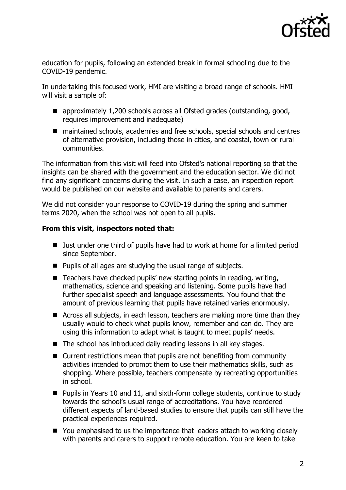

education for pupils, following an extended break in formal schooling due to the COVID-19 pandemic.

In undertaking this focused work, HMI are visiting a broad range of schools. HMI will visit a sample of:

- approximately 1,200 schools across all Ofsted grades (outstanding, good, requires improvement and inadequate)
- maintained schools, academies and free schools, special schools and centres of alternative provision, including those in cities, and coastal, town or rural communities.

The information from this visit will feed into Ofsted's national reporting so that the insights can be shared with the government and the education sector. We did not find any significant concerns during the visit. In such a case, an inspection report would be published on our website and available to parents and carers.

We did not consider your response to COVID-19 during the spring and summer terms 2020, when the school was not open to all pupils.

## **From this visit, inspectors noted that:**

- Just under one third of pupils have had to work at home for a limited period since September.
- $\blacksquare$  Pupils of all ages are studying the usual range of subjects.
- $\blacksquare$  Teachers have checked pupils' new starting points in reading, writing, mathematics, science and speaking and listening. Some pupils have had further specialist speech and language assessments. You found that the amount of previous learning that pupils have retained varies enormously.
- Across all subjects, in each lesson, teachers are making more time than they usually would to check what pupils know, remember and can do. They are using this information to adapt what is taught to meet pupils' needs.
- The school has introduced daily reading lessons in all key stages.
- $\blacksquare$  Current restrictions mean that pupils are not benefiting from community activities intended to prompt them to use their mathematics skills, such as shopping. Where possible, teachers compensate by recreating opportunities in school.
- Pupils in Years 10 and 11, and sixth-form college students, continue to study towards the school's usual range of accreditations. You have reordered different aspects of land-based studies to ensure that pupils can still have the practical experiences required.
- You emphasised to us the importance that leaders attach to working closely with parents and carers to support remote education. You are keen to take